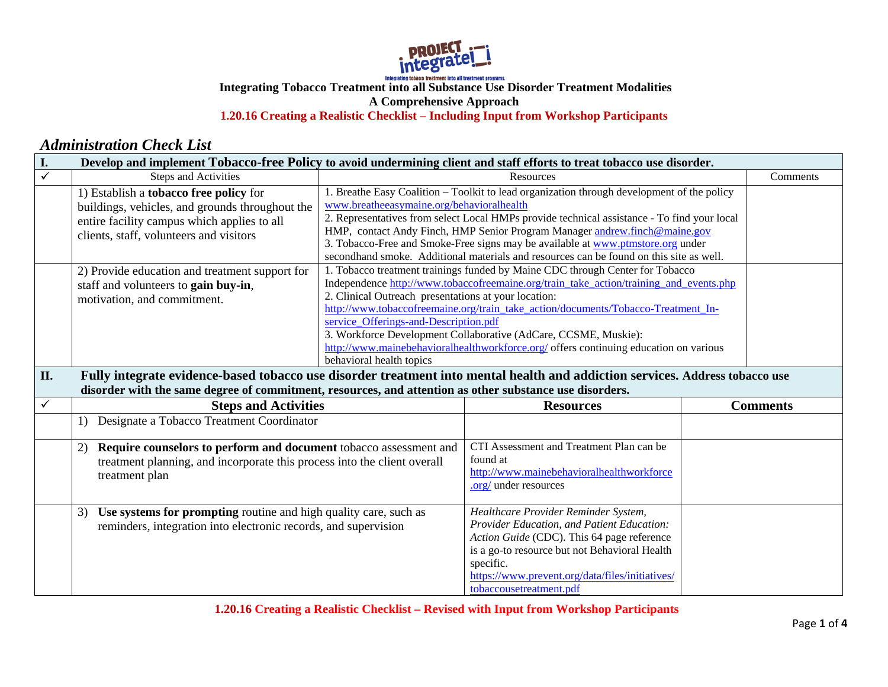

## **Integrating Tobacco Treatment into all Substance Use Disorder Treatment Modalities A Comprehensive Approach 1.20.16 Creating a Realistic Checklist – Including Input from Workshop Participants**

## *Administration Check List*

| I.                      | Develop and implement Tobacco-free Policy to avoid undermining client and staff efforts to treat tobacco use disorder.                                                                                                                  |                                                                                                                           |                                                                                                                                                                                                                                                                                                                                                                                                                                                       |  |                 |
|-------------------------|-----------------------------------------------------------------------------------------------------------------------------------------------------------------------------------------------------------------------------------------|---------------------------------------------------------------------------------------------------------------------------|-------------------------------------------------------------------------------------------------------------------------------------------------------------------------------------------------------------------------------------------------------------------------------------------------------------------------------------------------------------------------------------------------------------------------------------------------------|--|-----------------|
| $\overline{\checkmark}$ | <b>Steps and Activities</b>                                                                                                                                                                                                             |                                                                                                                           | Resources                                                                                                                                                                                                                                                                                                                                                                                                                                             |  | Comments        |
|                         | 1) Establish a tobacco free policy for<br>buildings, vehicles, and grounds throughout the<br>entire facility campus which applies to all<br>clients, staff, volunteers and visitors                                                     | www.breatheeasymaine.org/behavioralhealth                                                                                 | 1. Breathe Easy Coalition - Toolkit to lead organization through development of the policy<br>2. Representatives from select Local HMPs provide technical assistance - To find your local<br>HMP, contact Andy Finch, HMP Senior Program Manager andrew.finch@maine.gov<br>3. Tobacco-Free and Smoke-Free signs may be available at www.ptmstore.org under<br>secondhand smoke. Additional materials and resources can be found on this site as well. |  |                 |
|                         | 2) Provide education and treatment support for<br>staff and volunteers to gain buy-in,<br>motivation, and commitment.                                                                                                                   | 2. Clinical Outreach presentations at your location:<br>service Offerings-and-Description.pdf<br>behavioral health topics | 1. Tobacco treatment trainings funded by Maine CDC through Center for Tobacco<br>Independence http://www.tobaccofreemaine.org/train_take_action/training_and_events.php<br>http://www.tobaccofreemaine.org/train_take_action/documents/Tobacco-Treatment_In-<br>3. Workforce Development Collaborative (AdCare, CCSME, Muskie):<br>http://www.mainebehavioralhealthworkforce.org/ offers continuing education on various                              |  |                 |
| II.                     | Fully integrate evidence-based tobacco use disorder treatment into mental health and addiction services. Address tobacco use<br>disorder with the same degree of commitment, resources, and attention as other substance use disorders. |                                                                                                                           |                                                                                                                                                                                                                                                                                                                                                                                                                                                       |  |                 |
| ✓                       | <b>Steps and Activities</b>                                                                                                                                                                                                             |                                                                                                                           | <b>Resources</b>                                                                                                                                                                                                                                                                                                                                                                                                                                      |  | <b>Comments</b> |
|                         | Designate a Tobacco Treatment Coordinator<br>1)                                                                                                                                                                                         |                                                                                                                           |                                                                                                                                                                                                                                                                                                                                                                                                                                                       |  |                 |
|                         | Require counselors to perform and document tobacco assessment and<br>(2)<br>treatment planning, and incorporate this process into the client overall<br>treatment plan                                                                  |                                                                                                                           | CTI Assessment and Treatment Plan can be<br>found at<br>http://www.mainebehavioralhealthworkforce<br>.org/ under resources                                                                                                                                                                                                                                                                                                                            |  |                 |
|                         |                                                                                                                                                                                                                                         |                                                                                                                           |                                                                                                                                                                                                                                                                                                                                                                                                                                                       |  |                 |

**1.20.16 Creating a Realistic Checklist – Revised with Input from Workshop Participants**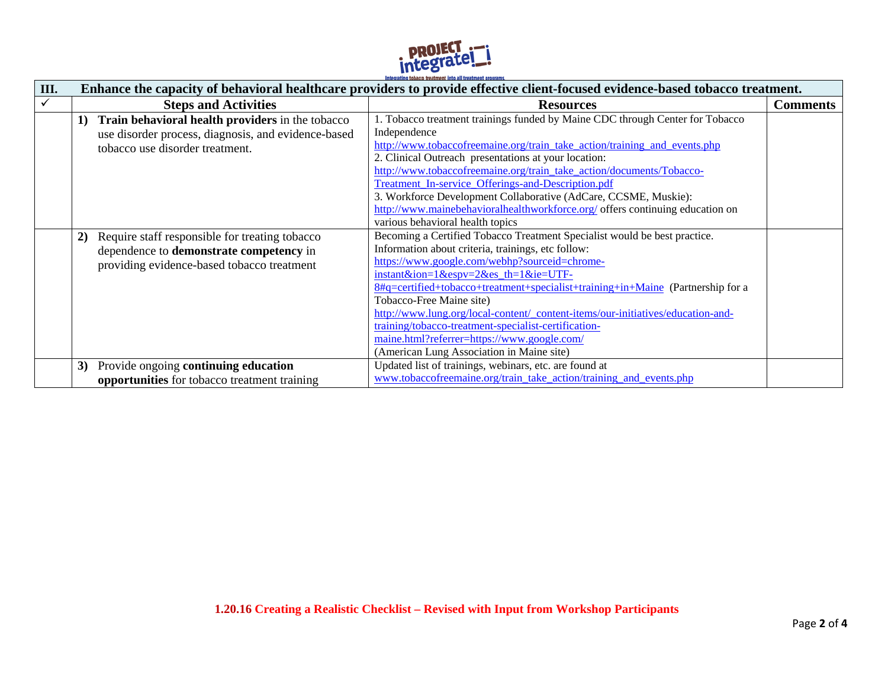

| III. | integrating topatto treatment into an treatment programs<br>Enhance the capacity of behavioral healthcare providers to provide effective client-focused evidence-based tobacco treatment. |                                                                                                                                                                                                                                                                                                                                                                                                                                                                                                                                                                                               |                 |
|------|-------------------------------------------------------------------------------------------------------------------------------------------------------------------------------------------|-----------------------------------------------------------------------------------------------------------------------------------------------------------------------------------------------------------------------------------------------------------------------------------------------------------------------------------------------------------------------------------------------------------------------------------------------------------------------------------------------------------------------------------------------------------------------------------------------|-----------------|
|      | <b>Steps and Activities</b>                                                                                                                                                               | <b>Resources</b>                                                                                                                                                                                                                                                                                                                                                                                                                                                                                                                                                                              | <b>Comments</b> |
|      | Train behavioral health providers in the tobacco<br>1)<br>use disorder process, diagnosis, and evidence-based<br>tobacco use disorder treatment.                                          | 1. Tobacco treatment trainings funded by Maine CDC through Center for Tobacco<br>Independence<br>http://www.tobaccofreemaine.org/train_take_action/training_and_events.php<br>2. Clinical Outreach presentations at your location:<br>http://www.tobaccofreemaine.org/train take action/documents/Tobacco-<br>Treatment_In-service_Offerings-and-Description.pdf<br>3. Workforce Development Collaborative (AdCare, CCSME, Muskie):<br>http://www.mainebehavioralhealthworkforce.org/ offers continuing education on<br>various behavioral health topics                                      |                 |
|      | Require staff responsible for treating tobacco<br>2)<br>dependence to demonstrate competency in<br>providing evidence-based tobacco treatment                                             | Becoming a Certified Tobacco Treatment Specialist would be best practice.<br>Information about criteria, trainings, etc follow:<br>https://www.google.com/webhp?sourceid=chrome-<br>$instant &ion = 1 & espv = 2 & es_th = 1 & ie=UTF-$<br>8#q=certified+tobacco+treatment+specialist+training+in+Maine (Partnership for a<br>Tobacco-Free Maine site)<br>http://www.lung.org/local-content/_content-items/our-initiatives/education-and-<br>training/tobacco-treatment-specialist-certification-<br>maine.html?referrer=https://www.google.com/<br>(American Lung Association in Maine site) |                 |
|      | Provide ongoing continuing education<br>3)<br>opportunities for tobacco treatment training                                                                                                | Updated list of trainings, webinars, etc. are found at<br>www.tobaccofreemaine.org/train_take_action/training_and_events.php                                                                                                                                                                                                                                                                                                                                                                                                                                                                  |                 |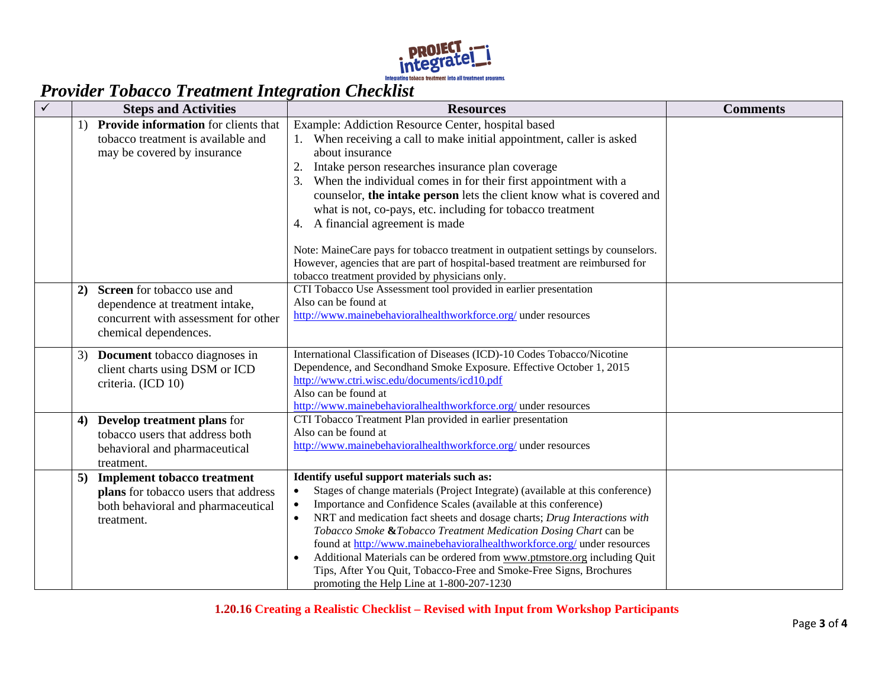

## *Provider Tobacco Treatment Integration Checklist*

| <b>Steps and Activities</b>                                                                                                          | <b>Resources</b>                                                                                                                                                                                                                                                                                                                                                                                                                                                                                                                                                                                                                                               | <b>Comments</b> |
|--------------------------------------------------------------------------------------------------------------------------------------|----------------------------------------------------------------------------------------------------------------------------------------------------------------------------------------------------------------------------------------------------------------------------------------------------------------------------------------------------------------------------------------------------------------------------------------------------------------------------------------------------------------------------------------------------------------------------------------------------------------------------------------------------------------|-----------------|
| <b>Provide information</b> for clients that<br>tobacco treatment is available and<br>may be covered by insurance                     | Example: Addiction Resource Center, hospital based<br>1. When receiving a call to make initial appointment, caller is asked<br>about insurance<br>Intake person researches insurance plan coverage<br>When the individual comes in for their first appointment with a<br>3.<br>counselor, the intake person lets the client know what is covered and<br>what is not, co-pays, etc. including for tobacco treatment<br>A financial agreement is made<br>4.<br>Note: MaineCare pays for tobacco treatment in outpatient settings by counselors.<br>However, agencies that are part of hospital-based treatment are reimbursed for                                |                 |
| Screen for tobacco use and<br>2)<br>dependence at treatment intake,<br>concurrent with assessment for other<br>chemical dependences. | tobacco treatment provided by physicians only.<br>CTI Tobacco Use Assessment tool provided in earlier presentation<br>Also can be found at<br>http://www.mainebehavioralhealthworkforce.org/ under resources                                                                                                                                                                                                                                                                                                                                                                                                                                                   |                 |
| Document tobacco diagnoses in<br>3)<br>client charts using DSM or ICD<br>criteria. (ICD 10)                                          | International Classification of Diseases (ICD)-10 Codes Tobacco/Nicotine<br>Dependence, and Secondhand Smoke Exposure. Effective October 1, 2015<br>http://www.ctri.wisc.edu/documents/icd10.pdf<br>Also can be found at<br>http://www.mainebehavioralhealthworkforce.org/ under resources                                                                                                                                                                                                                                                                                                                                                                     |                 |
| <b>Develop treatment plans for</b><br>4)<br>tobacco users that address both<br>behavioral and pharmaceutical<br>treatment.           | CTI Tobacco Treatment Plan provided in earlier presentation<br>Also can be found at<br>http://www.mainebehavioralhealthworkforce.org/ under resources                                                                                                                                                                                                                                                                                                                                                                                                                                                                                                          |                 |
| <b>Implement tobacco treatment</b><br>5)<br>plans for tobacco users that address<br>both behavioral and pharmaceutical<br>treatment. | Identify useful support materials such as:<br>Stages of change materials (Project Integrate) (available at this conference)<br>$\bullet$<br>Importance and Confidence Scales (available at this conference)<br>$\bullet$<br>NRT and medication fact sheets and dosage charts; Drug Interactions with<br>$\bullet$<br>Tobacco Smoke &Tobacco Treatment Medication Dosing Chart can be<br>found at http://www.mainebehavioralhealthworkforce.org/ under resources<br>Additional Materials can be ordered from www.ptmstore.org including Quit<br>Tips, After You Quit, Tobacco-Free and Smoke-Free Signs, Brochures<br>promoting the Help Line at 1-800-207-1230 |                 |

**1.20.16 Creating a Realistic Checklist – Revised with Input from Workshop Participants**